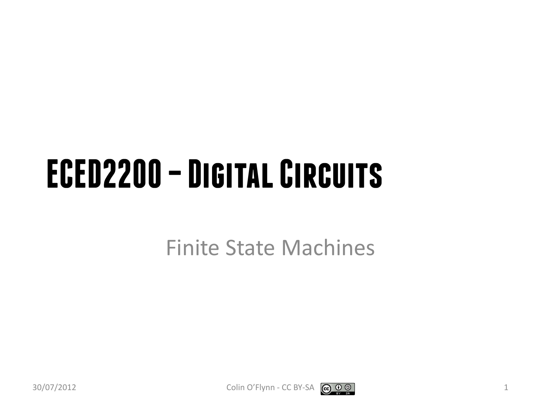#### **ECED2200 –Digital Circuits**

Finite State Machines

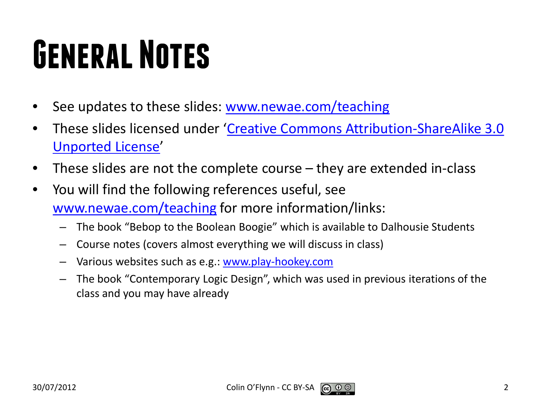## **General Notes**

- See updates to these slides: [www.newae.com/teaching](http://www.newae.com/teaching)
- These slides licensed under '[Creative Commons Attribution-ShareAlike](http://creativecommons.org/licenses/by-sa/3.0/) 3.0 [Unported](http://creativecommons.org/licenses/by-sa/3.0/) License'
- These slides are not the complete course they are extended in-class
- You will find the following references useful, see [www.newae.com/teaching](http://www.newae.com/teaching) for more information/links:
	- The book "Bebop to the Boolean Boogie" which is available to Dalhousie Students
	- Course notes (covers almost everything we will discuss in class)
	- Various websites such as e.g.: [www.play-hookey.com](http://www.play-hookey.com/)
	- The book "Contemporary Logic Design", which was used in previous iterations of the class and you may have already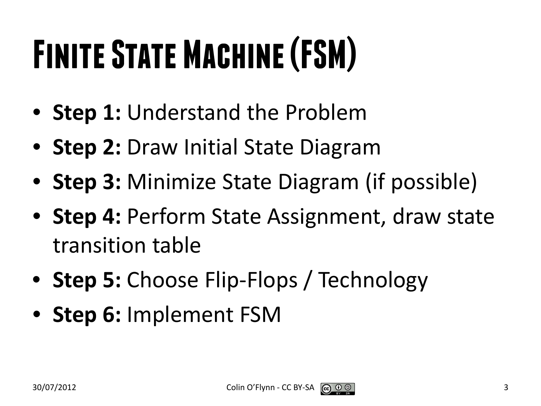# **Finite State Machine (FSM)**

- **Step 1:** Understand the Problem
- **Step 2:** Draw Initial State Diagram
- **Step 3:** Minimize State Diagram (if possible)
- **Step 4:** Perform State Assignment, draw state transition table
- **Step 5:** Choose Flip-Flops / Technology
- **Step 6:** Implement FSM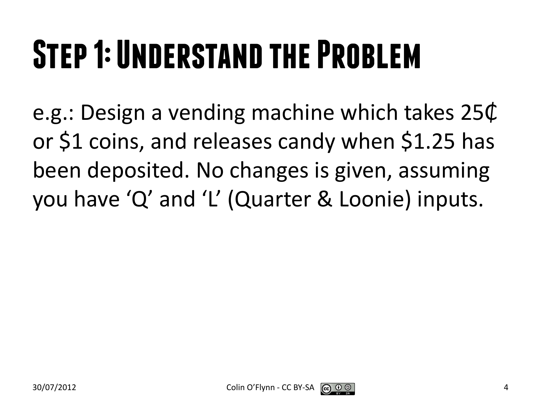## **Step 1: Understand the Problem**

e.g.: Design a vending machine which takes 25₵ or \$1 coins, and releases candy when \$1.25 has been deposited. No changes is given, assuming you have 'Q' and 'L' (Quarter & Loonie) inputs.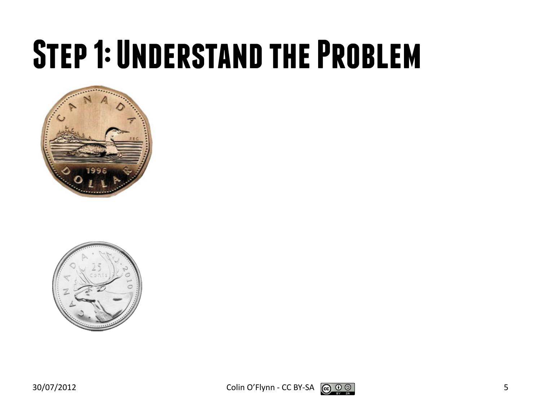#### **Step 1: Understand the Problem**





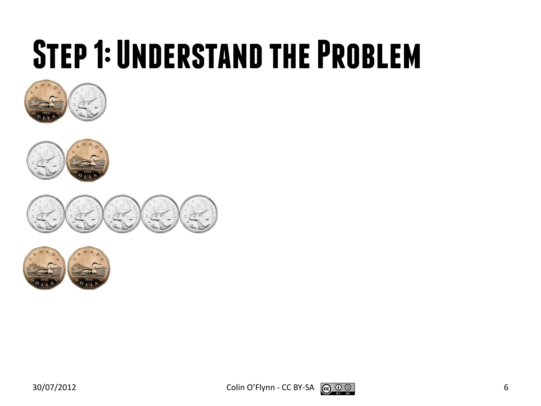#### **Step 1: Understand the Problem**











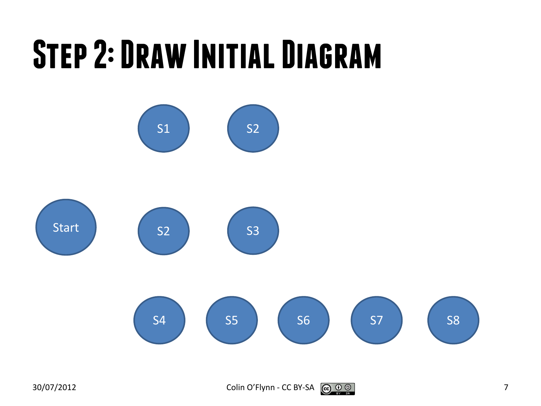#### **Step 2: Draw Initial Diagram**



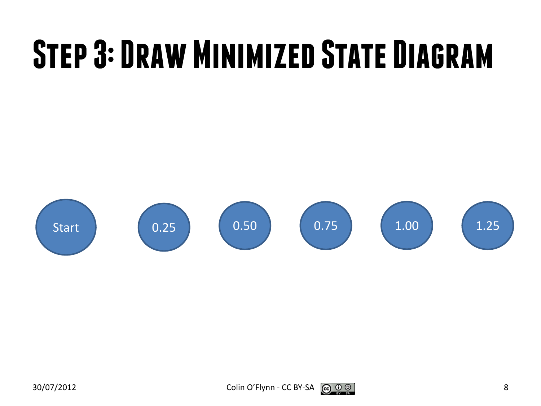## **Step 3: Draw Minimized State Diagram**

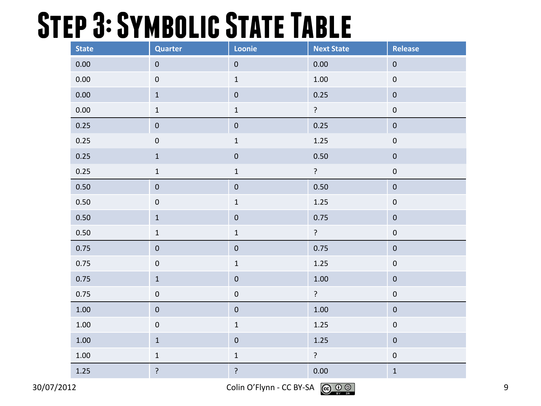#### **Step 3: Symbolic State Table**

| <b>State</b> | Quarter          | Loonie         | <b>Next State</b> | Release          |
|--------------|------------------|----------------|-------------------|------------------|
| 0.00         | $\pmb{0}$        | $\pmb{0}$      | 0.00              | $\pmb{0}$        |
| 0.00         | $\pmb{0}$        | $\mathbf 1$    | 1.00              | $\pmb{0}$        |
| 0.00         | $\mathbf 1$      | $\pmb{0}$      | 0.25              | $\mathbf 0$      |
| 0.00         | $\mathbf 1$      | $\mathbf 1$    | ?                 | $\pmb{0}$        |
| 0.25         | $\pmb{0}$        | $\pmb{0}$      | 0.25              | $\pmb{0}$        |
| 0.25         | $\pmb{0}$        | $\mathbf 1$    | $1.25\,$          | $\mathbf 0$      |
| 0.25         | $\mathbf 1$      | $\pmb{0}$      | $0.50\,$          | $\pmb{0}$        |
| 0.25         | $\mathbf 1$      | $\mathbf 1$    | ?                 | $\pmb{0}$        |
| 0.50         | $\pmb{0}$        | $\pmb{0}$      | 0.50              | $\pmb{0}$        |
| 0.50         | $\pmb{0}$        | $\mathbf 1$    | 1.25              | $\pmb{0}$        |
| 0.50         | $\mathbf 1$      | $\pmb{0}$      | 0.75              | $\pmb{0}$        |
| 0.50         | $\mathbf 1$      | $\mathbf 1$    | $\overline{?}$    | $\boldsymbol{0}$ |
| 0.75         | $\pmb{0}$        | $\pmb{0}$      | 0.75              | $\pmb{0}$        |
| 0.75         | $\pmb{0}$        | $\mathbf 1$    | 1.25              | $\pmb{0}$        |
| 0.75         | $\mathbf 1$      | $\pmb{0}$      | 1.00              | $\pmb{0}$        |
| 0.75         | $\boldsymbol{0}$ | $\mathbf 0$    | $\ddot{?}$        | $\pmb{0}$        |
| $1.00\,$     | $\pmb{0}$        | $\pmb{0}$      | 1.00              | $\pmb{0}$        |
| $1.00\,$     | $\pmb{0}$        | $\mathbf 1$    | $1.25$            | $\pmb{0}$        |
| $1.00\,$     | $\mathbf 1$      | $\pmb{0}$      | $1.25$            | $\pmb{0}$        |
| 1.00         | $\mathbf 1$      | $\mathbf 1$    | ?                 | $\pmb{0}$        |
| $1.25\,$     | $\overline{?}$   | $\overline{?}$ | 0.00              | $\mathbf 1$      |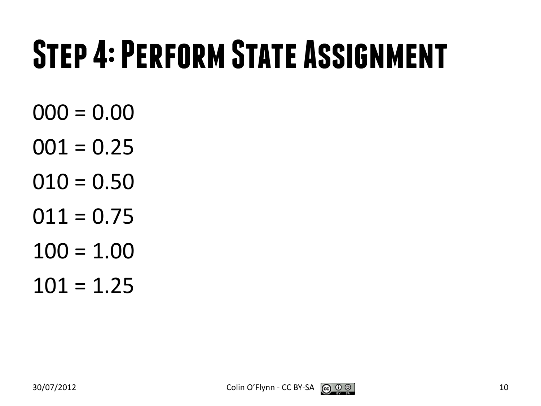### **Step 4: Perform State Assignment**

- $000 = 0.00$
- $001 = 0.25$
- $010 = 0.50$
- $011 = 0.75$
- $100 = 1.00$
- $101 = 1.25$

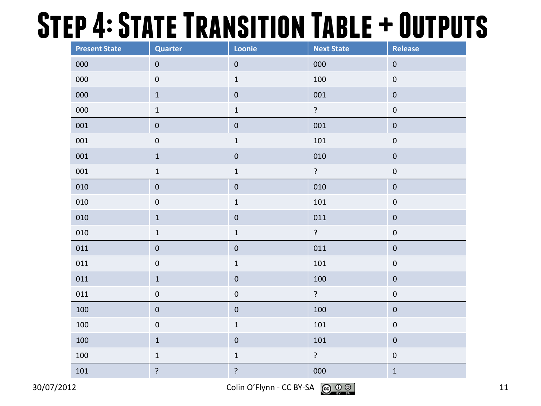#### **Step 4: State Transition Table + Outputs**

| <b>Present State</b> | <b>Quarter</b>         | Loonie         | <b>Next State</b> | Release          |  |
|----------------------|------------------------|----------------|-------------------|------------------|--|
| 000                  | $\pmb{0}$<br>$\pmb{0}$ |                | 000               | $\pmb{0}$        |  |
| 000                  | $\pmb{0}$              | $\mathbf 1$    | 100               | $\pmb{0}$        |  |
| 000                  | $\mathbf 1$            | $\pmb{0}$      | 001               | $\pmb{0}$        |  |
| 000                  | $\mathbf 1$            | $\mathbf 1$    | $\tilde{.}$       | $\pmb{0}$        |  |
| 001                  | $\pmb{0}$              | $\pmb{0}$      | 001               | $\pmb{0}$        |  |
| 001                  | $\pmb{0}$              | $\mathbf 1$    | $101\,$           | $\pmb{0}$        |  |
| 001                  | $\mathbf 1$            | $\mathbf 0$    | 010               | $\pmb{0}$        |  |
| 001                  | $\mathbf 1$            | $\mathbf 1$    | $\overline{?}$    | $\pmb{0}$        |  |
| 010                  | $\pmb{0}$              | $\pmb{0}$      | 010               | $\pmb{0}$        |  |
| 010                  | $\pmb{0}$              | $\mathbf 1$    | 101               | $\pmb{0}$        |  |
| 010                  | $\mathbf 1$            | $\pmb{0}$      | 011               | $\pmb{0}$        |  |
| 010                  | $\mathbf 1$            | $\mathbf 1$    | $\overline{?}$    | $\pmb{0}$        |  |
| 011                  | $\pmb{0}$              | $\pmb{0}$      | 011               | $\pmb{0}$        |  |
| ${\tt 011}$          | $\pmb{0}$              | $\mathbf 1$    | $101\,$           | $\pmb{0}$        |  |
| 011                  | $\mathbf 1$            | $\pmb{0}$      | 100               | $\pmb{0}$        |  |
| 011                  | $\pmb{0}$              | $\pmb{0}$      | $\overline{?}$    | $\mathbf 0$      |  |
| 100                  | $\pmb{0}$              | $\pmb{0}$      | 100               | $\pmb{0}$        |  |
| 100                  | $\pmb{0}$              | $\mathbf 1$    | 101               | $\boldsymbol{0}$ |  |
| 100                  | $\mathbf 1$            | $\mathbf 0$    | 101               | $\mathbf 0$      |  |
| 100                  | $\mathbf 1$            | $\mathbf 1$    | $\ddot{?}$        | $\boldsymbol{0}$ |  |
| $101\,$              | $\cdot$                | $\overline{?}$ | 000               | $\mathbf 1$      |  |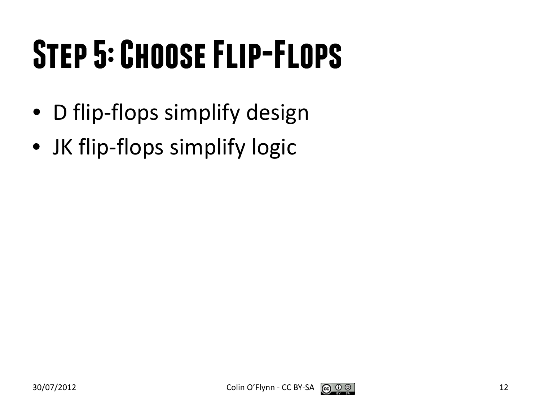## **Step 5: Choose Flip-Flops**

- D flip-flops simplify design
- JK flip-flops simplify logic

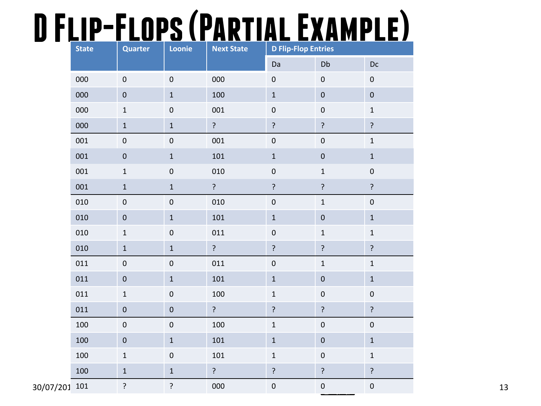#### **D Flip-Flops (Partial Example)**

|               | <b>State</b> | <b>Quarter</b>   | Loonie           | <b>Next State</b> | <b>D Flip-Flop Entries</b> |                |                  |
|---------------|--------------|------------------|------------------|-------------------|----------------------------|----------------|------------------|
|               |              |                  |                  |                   | Da                         | Db             | $Dc$             |
| 000           |              | $\pmb{0}$        | $\boldsymbol{0}$ | 000               | $\boldsymbol{0}$           | $\pmb{0}$      | $\pmb{0}$        |
|               | 000          | $\pmb{0}$        | $\mathbf 1$      | 100               | $\mathbf 1$                | $\pmb{0}$      | $\pmb{0}$        |
|               | 000          | $\mathbf 1$      | $\boldsymbol{0}$ | 001               | $\pmb{0}$                  | $\pmb{0}$      | $\mathbf 1$      |
|               | 000          | $\mathbf 1$      | $\mathbf 1$      | $\overline{?}$    | $\overline{?}$             | $\overline{?}$ | $\overline{?}$   |
| 001           |              | $\pmb{0}$        | $\boldsymbol{0}$ | 001               | $\boldsymbol{0}$           | $\pmb{0}$      | $\mathbf 1$      |
| 001           |              | $\pmb{0}$        | $\mathbf{1}$     | 101               | $\mathbf 1$                | $\pmb{0}$      | $\mathbf{1}$     |
| 001           |              | $\mathbf 1$      | $\boldsymbol{0}$ | 010               | $\pmb{0}$                  | $\mathbf 1$    | $\pmb{0}$        |
| 001           |              | $\mathbf 1$      | $1\,$            | $\overline{?}$    | ?                          | $\overline{?}$ | $\mathbf{S}$     |
| 010           |              | $\pmb{0}$        | $\pmb{0}$        | 010               | $\boldsymbol{0}$           | $\mathbf 1$    | $\pmb{0}$        |
| 010           |              | $\pmb{0}$        | $\,1\,$          | 101               | $\,1\,$                    | $\pmb{0}$      | $\mathbf 1$      |
| 010           |              | $\mathbf 1$      | $\mathbf 0$      | 011               | $\pmb{0}$                  | $\mathbf 1$    | $\mathbf 1$      |
|               | 010          | $\mathbf 1$      | $\mathbf 1$      | $\overline{?}$    | $\overline{?}$             | $\overline{?}$ | $\overline{?}$   |
| 011           |              | $\boldsymbol{0}$ | $\pmb{0}$        | 011               | $\pmb{0}$                  | $\mathbf 1$    | $\mathbf 1$      |
| 011           |              | $\pmb{0}$        | $\mathbf{1}$     | 101               | $\,1\,$                    | $\pmb{0}$      | $\mathbf 1$      |
|               | 011          | $\mathbf 1$      | $\boldsymbol{0}$ | 100               | $\mathbf 1$                | $\pmb{0}$      | $\boldsymbol{0}$ |
|               | 011          | $\pmb{0}$        | $\pmb{0}$        | $\overline{?}$    | $\overline{?}$             | $\overline{?}$ | $\overline{?}$   |
|               | 100          | $\pmb{0}$        | $\boldsymbol{0}$ | 100               | $\mathbf{1}$               | $\pmb{0}$      | $\pmb{0}$        |
| 100           |              | $\pmb{0}$        | $\mathbf{1}$     | 101               | $\mathbf 1$                | $\pmb{0}$      | $\mathbf 1$      |
|               | 100          | $\mathbf 1$      | $\boldsymbol{0}$ | 101               | $\mathbf 1$                | $\pmb{0}$      | $\mathbf 1$      |
| 100           |              | $\mathbf 1$      | $\mathbf 1$      | $\overline{?}$    | $\overline{?}$             | $\mathbf{?}$   | $\overline{?}$   |
| 30/07/201 101 |              | ?                | $\overline{?}$   | 000               | $\pmb{0}$                  | $\pmb{0}$      | $\pmb{0}$        |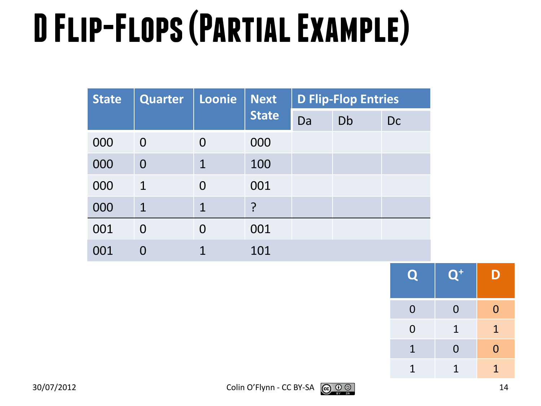# **D Flip-Flops (Partial Example)**

| <b>State</b> | <b>Quarter</b> | Loonie         | <b>Next</b>  |    | <b>D Flip-Flop Entries</b> |    |
|--------------|----------------|----------------|--------------|----|----------------------------|----|
|              |                |                | <b>State</b> | Da | Db                         | Dc |
| 000          | $\Omega$       | $\Omega$       | 000          |    |                            |    |
| 000          | $\overline{0}$ | $\mathbf 1$    | 100          |    |                            |    |
| 000          | $\mathbf 1$    | $\overline{0}$ | 001          |    |                            |    |
| 000          | $\mathbf 1$    | $\mathbf{1}$   | ?            |    |                            |    |
| 001          | 0              | $\Omega$       | 001          |    |                            |    |
| 001          |                |                | 101          |    |                            |    |

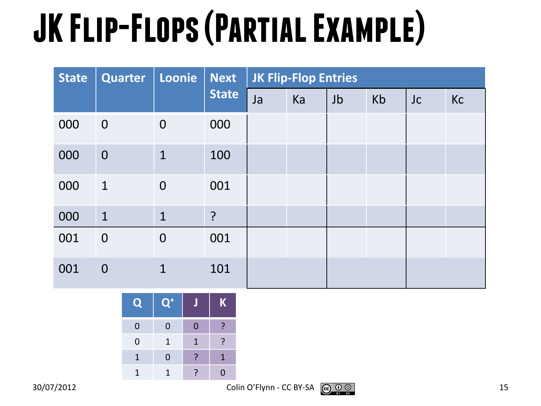## **JK Flip-Flops (Partial Example)**

| <b>State</b> | <b>Quarter</b> | Loonie         | <b>Next</b><br><b>State</b> | <b>JK Flip-Flop Entries</b> |    |    |    |    |    |
|--------------|----------------|----------------|-----------------------------|-----------------------------|----|----|----|----|----|
|              |                |                |                             | Ja                          | Ka | Jb | Kb | Jc | Kc |
| 000          | $\overline{0}$ | $\mathbf 0$    | 000                         |                             |    |    |    |    |    |
| 000          | $\overline{0}$ | $\mathbf{1}$   | 100                         |                             |    |    |    |    |    |
| 000          | $\mathbf{1}$   | $\overline{0}$ | 001                         |                             |    |    |    |    |    |
| 000          | $\mathbf{1}$   | $\mathbf{1}$   | $\cdot$                     |                             |    |    |    |    |    |
| 001          | $\overline{0}$ | $\overline{0}$ | 001                         |                             |    |    |    |    |    |
| 001          | $\overline{0}$ | $\mathbf{1}$   | 101                         |                             |    |    |    |    |    |

| $\mathbf Q$ | $\mathbf{Q}^+$ |   | $\mathbf K$ |
|-------------|----------------|---|-------------|
| $\mathbf 0$ | $\overline{0}$ | 0 |             |
| $\mathbf 0$ | 1              | 1 | ጋ           |
| 1           | 0              |   | 1           |
|             |                |   | N           |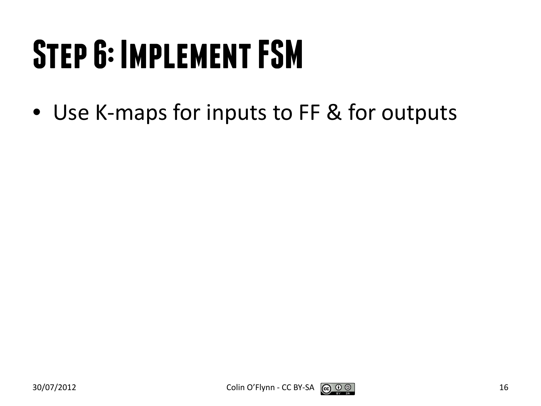## **Step 6: Implement FSM**

• Use K-maps for inputs to FF & for outputs

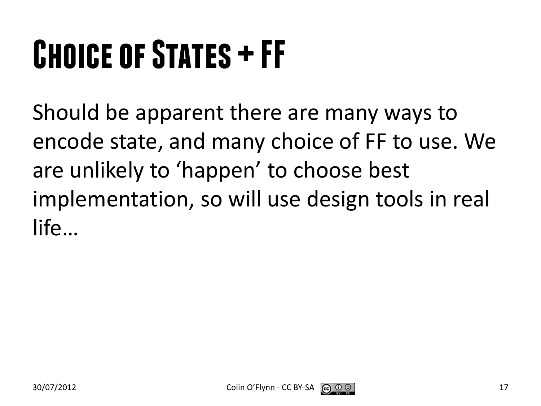## **Choice of States + FF**

Should be apparent there are many ways to encode state, and many choice of FF to use. We are unlikely to 'happen' to choose best implementation, so will use design tools in real life…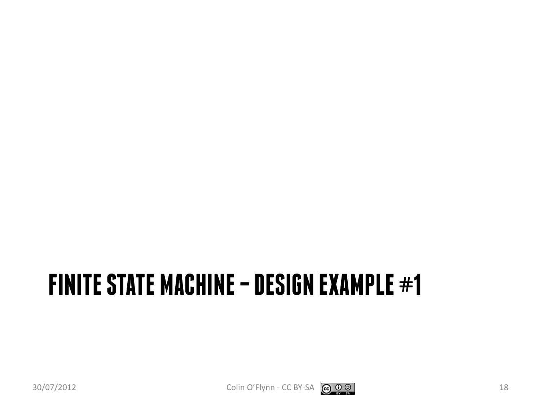#### **FINITE STATE MACHINE –DESIGN EXAMPLE #1**



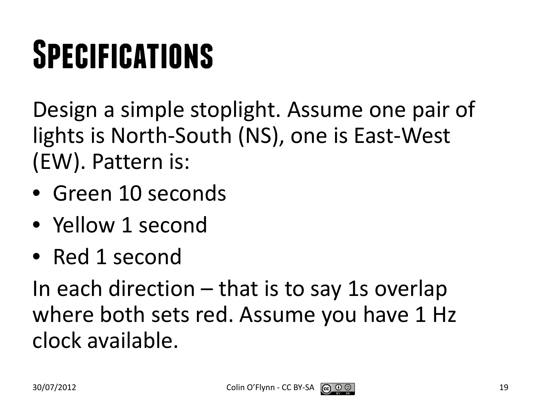## **Specifications**

Design a simple stoplight. Assume one pair of lights is North-South (NS), one is East-West (EW). Pattern is:

- Green 10 seconds
- Yellow 1 second
- Red 1 second

In each direction – that is to say 1s overlap where both sets red. Assume you have 1 Hz clock available.

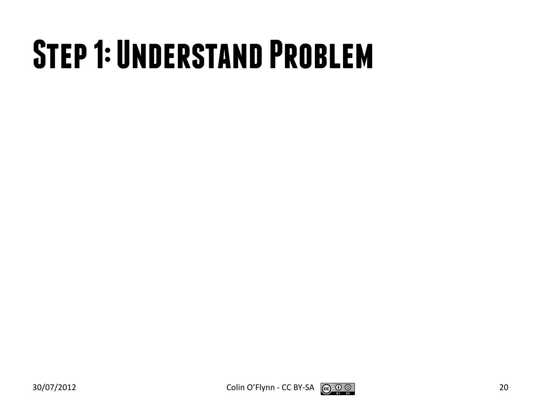#### **Step 1: Understand Problem**



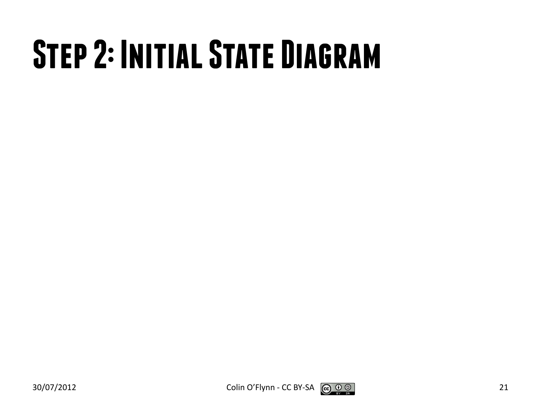## **Step 2: Initial State Diagram**



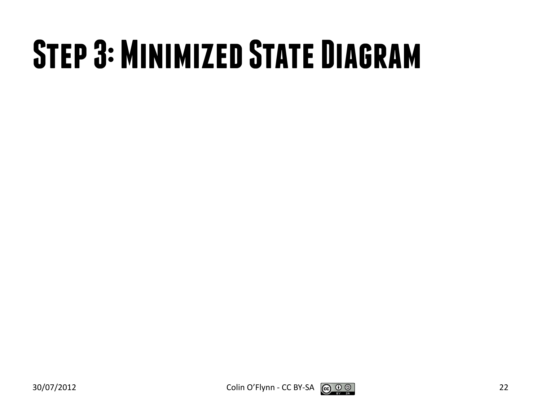### **Step 3: Minimized State Diagram**

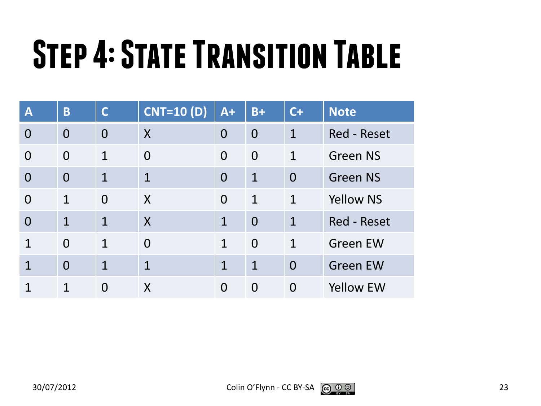## **Step 4: State Transition Table**

| $\mathbf{A}$   | B              | $\mathsf{C}$   | <b>CNT=10 (D)</b> | $A+$         | $B+$           | $C+$           | <b>Note</b>        |
|----------------|----------------|----------------|-------------------|--------------|----------------|----------------|--------------------|
| $\overline{0}$ | $\overline{0}$ | $\overline{0}$ | X                 | $\Omega$     | $\overline{0}$ | $\mathbf 1$    | <b>Red - Reset</b> |
| $\Omega$       | $\Omega$       | 1              | $\Omega$          | $\Omega$     | $\overline{0}$ | $\mathbf 1$    | <b>Green NS</b>    |
| $\Omega$       | $\overline{0}$ | $\mathbf{1}$   | $\mathbf{1}$      | $\Omega$     | $\mathbf 1$    | $\overline{0}$ | <b>Green NS</b>    |
| $\overline{0}$ | $\mathbf{1}$   | $\overline{0}$ | $\boldsymbol{X}$  | $\Omega$     | $\mathbf{1}$   | $\mathbf{1}$   | <b>Yellow NS</b>   |
| $\Omega$       | $\mathbf{1}$   | 1              | $\boldsymbol{X}$  | $\mathbf{1}$ | $\overline{0}$ | 1              | <b>Red - Reset</b> |
| 1              | $\Omega$       | $\mathbf{1}$   | $\Omega$          | $\mathbf{1}$ | $\Omega$       | $\mathbf 1$    | <b>Green EW</b>    |
| $\mathbf 1$    | $\Omega$       | 1              | $\overline{1}$    | 1            | $\mathbf{1}$   | $\overline{0}$ | <b>Green EW</b>    |
|                | $\mathbf{1}$   | 0              | X                 | $\Omega$     | $\overline{0}$ | $\Omega$       | <b>Yellow EW</b>   |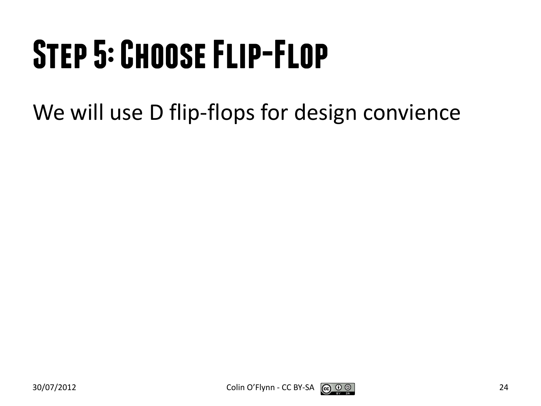## **Step 5: Choose Flip-Flop**

We will use D flip-flops for design convience

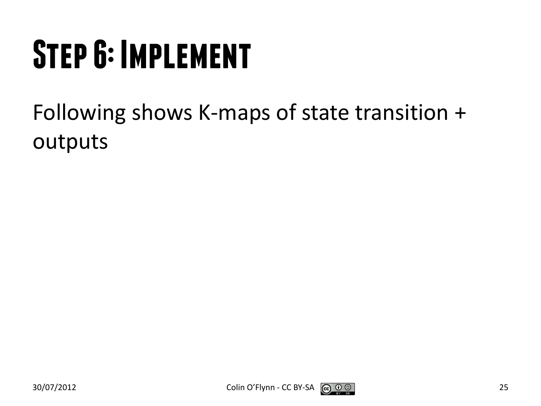## **Step 6: Implement**

Following shows K-maps of state transition + outputs

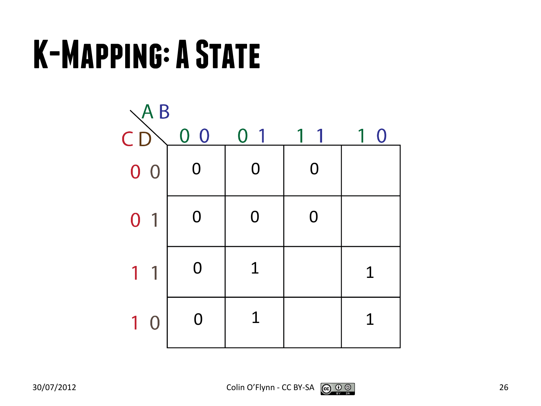#### **K-Mapping: A State**



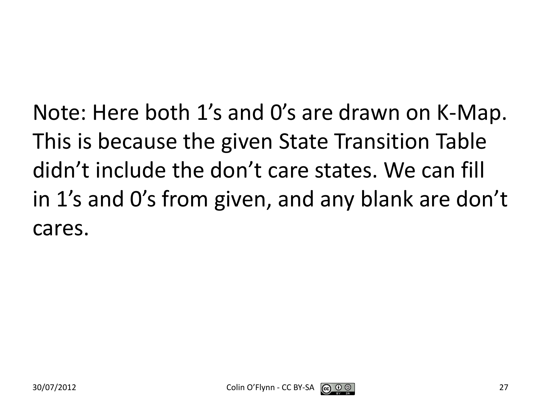Note: Here both 1's and 0's are drawn on K-Map. This is because the given State Transition Table didn't include the don't care states. We can fill in 1's and 0's from given, and any blank are don't cares.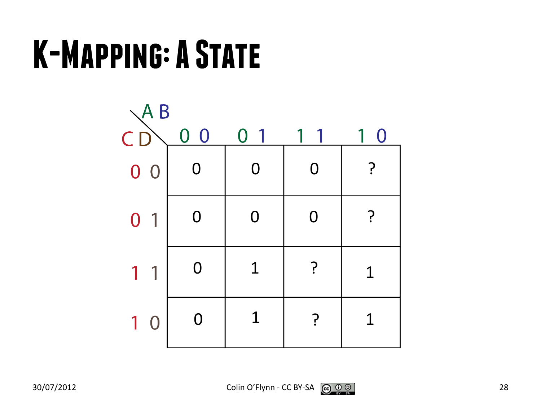#### **K-Mapping: A State**



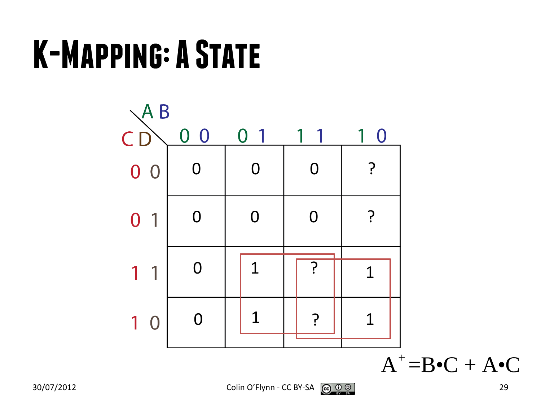#### **K-Mapping: A State**

![](_page_28_Figure_1.jpeg)

 $A^+ = B \bullet C + A \bullet C$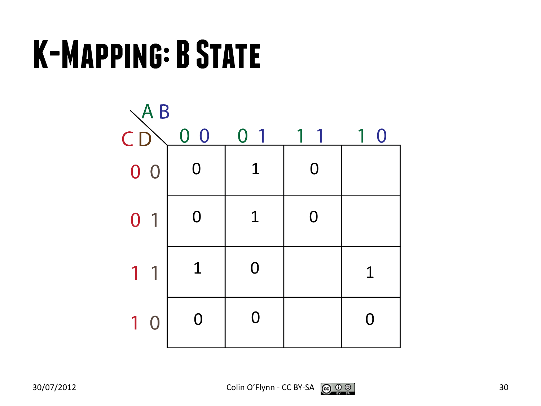#### **K-Mapping: B State**

![](_page_29_Figure_1.jpeg)

![](_page_29_Picture_3.jpeg)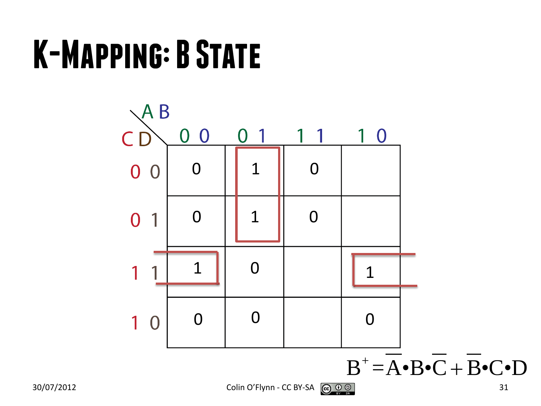#### **K-Mapping: B State**

![](_page_30_Figure_1.jpeg)

 $B^+ = \overline{A} \cdot \overline{B} \cdot \overline{C} + \overline{B} \cdot \overline{C} \cdot D$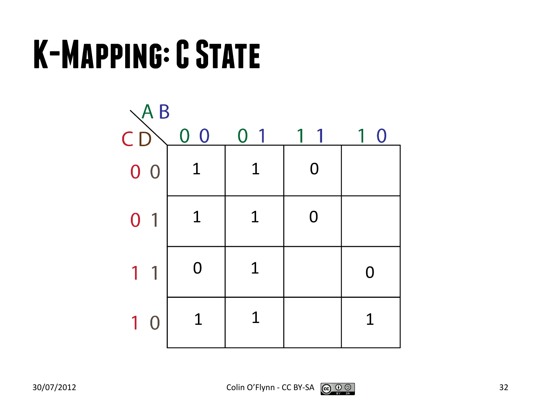#### **K-Mapping: C State**

![](_page_31_Figure_1.jpeg)

![](_page_31_Picture_3.jpeg)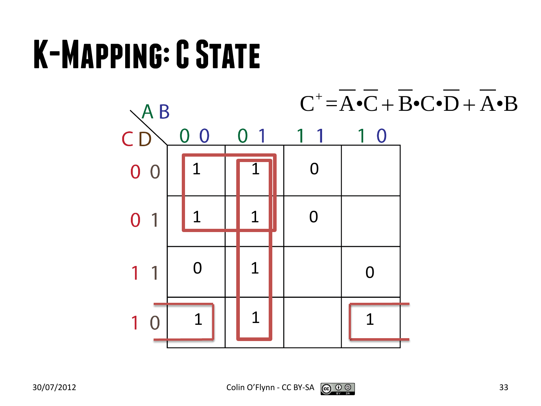#### **K-Mapping: C State**

![](_page_32_Figure_1.jpeg)

![](_page_32_Picture_3.jpeg)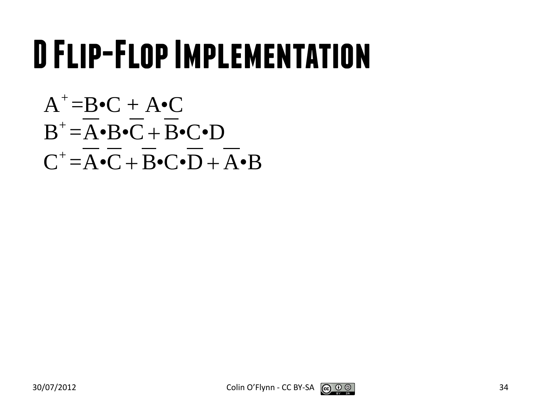#### **D Flip-Flop Implementation**

$$
A^+=B\bullet C + A\bullet C
$$
  
\n
$$
B^+=\overline{A}\bullet B\bullet \overline{C} + \overline{B}\bullet C\bullet D
$$
  
\n
$$
C^+=\overline{A}\bullet \overline{C} + \overline{B}\bullet C\bullet \overline{D} + \overline{A}\bullet B
$$

![](_page_33_Picture_3.jpeg)

![](_page_33_Picture_4.jpeg)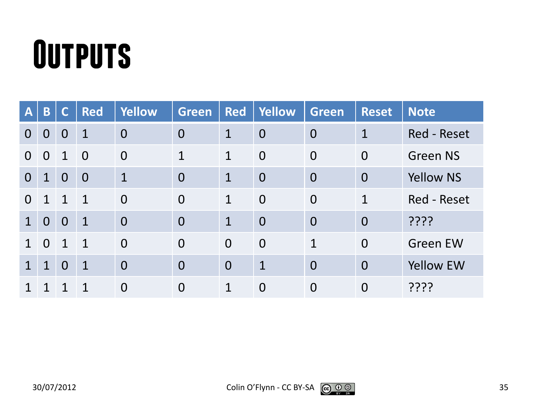#### **Outputs**

| $\bm{A}$       | B              | C              | <b>Red</b>     | <b>Yellow</b>  | Green          | <b>Red</b>     | <b>Yellow</b>  | <b>Green</b>   | <b>Reset</b>   | <b>Note</b>        |
|----------------|----------------|----------------|----------------|----------------|----------------|----------------|----------------|----------------|----------------|--------------------|
| $\Omega$       | $\overline{0}$ | $\overline{0}$ | $\mathbf 1$    | $\overline{0}$ | $\overline{0}$ | $\mathbf 1$    | $\overline{0}$ | $\overline{0}$ | $\mathbf 1$    | <b>Red - Reset</b> |
| $\Omega$       | $\overline{0}$ | $\mathbf 1$    | $\overline{0}$ | $\overline{0}$ | $\mathbf 1$    | $\mathbf 1$    | $\overline{0}$ | $\overline{0}$ | $\overline{0}$ | <b>Green NS</b>    |
| $\overline{0}$ | $\mathbf{1}$   | $\overline{0}$ | $\overline{0}$ | $\mathbf{1}$   | $\overline{0}$ | $\mathbf{1}$   | $\overline{0}$ | $\overline{0}$ | $\overline{0}$ | <b>Yellow NS</b>   |
| $\Omega$       | $\mathbf 1$    | $\overline{1}$ | $\overline{1}$ | $\overline{0}$ | $\overline{0}$ | $\mathbf{1}$   | $\overline{0}$ | $\overline{0}$ | 1              | Red - Reset        |
| 1              | $\overline{0}$ | $\overline{0}$ | $\mathbf{1}$   | $\overline{0}$ | $\overline{0}$ | $\mathbf{1}$   | $\overline{0}$ | $\overline{0}$ | $\overline{0}$ | ????               |
|                | $\Omega$       | $\mathbf 1$    | $\mathbf{1}$   | $\Omega$       | $\overline{0}$ | $\Omega$       | $\overline{0}$ | $\mathbf 1$    | $\overline{0}$ | <b>Green EW</b>    |
| 1              | 1              | $\overline{0}$ | $\mathbf{1}$   | $\overline{0}$ | $\overline{0}$ | $\overline{0}$ | $\mathbf{1}$   | $\overline{0}$ | $\overline{0}$ | <b>Yellow EW</b>   |
|                |                |                | 1              | $\overline{0}$ | $\overline{0}$ | 1              | $\overline{0}$ | $\overline{0}$ | $\overline{0}$ | ????               |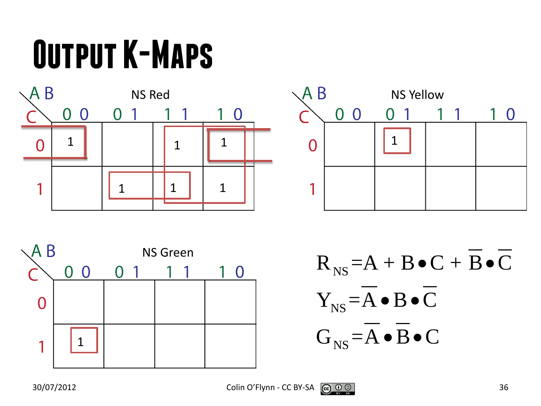## **Output K-Maps**

![](_page_35_Figure_1.jpeg)

![](_page_35_Figure_2.jpeg)

![](_page_35_Figure_3.jpeg)

 $R_{NS} = A + B \bullet C + B \bullet C$ NS NS  $Y_{NS} = A \bullet B \bullet C$  $G_{NS} = A \bullet B \bullet C$  $\bullet$  B $\bullet$  $\bullet$  B $\bullet$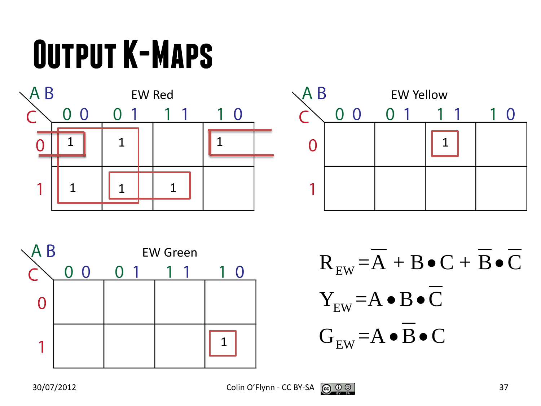## **Output K-Maps**







EW EW EW  $\rm R^{}_{\rm EW}\texttt{=}A\texttt{+}B\texttt{-}C\texttt{+}B\texttt{-}C$  ${\rm Y}_{_{\rm EW}}$  =A  $\bullet$  B  $\bullet$  C  $G_{\text{EW}}$  = A  $\bullet$  B  $\bullet$  C  $\bullet C + B \bullet$  $\bullet$  B $\bullet$  $\bullet$  B $\bullet$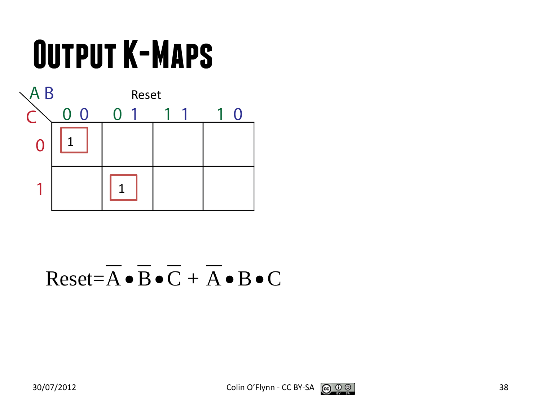## **Output K-Maps**



#### $Reset = \overline{A} \cdot \overline{B} \cdot \overline{C} + \overline{A} \cdot B \cdot C$

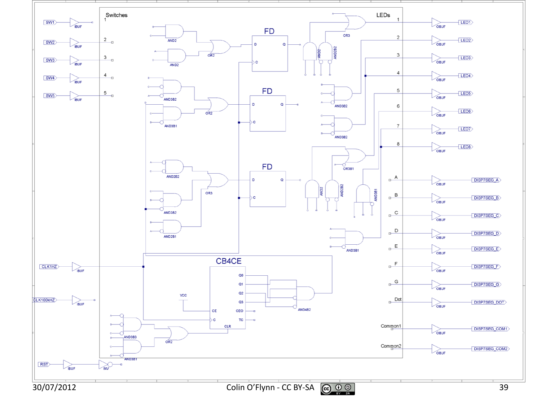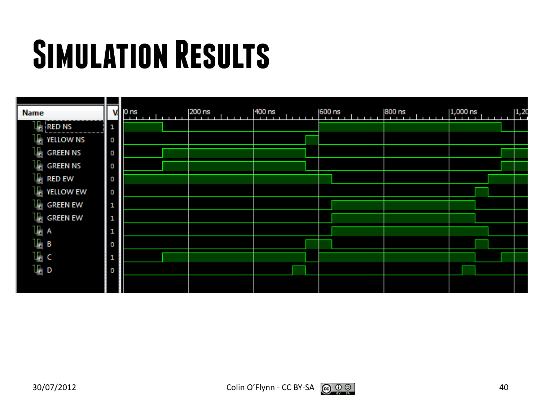## **Simulation Results**

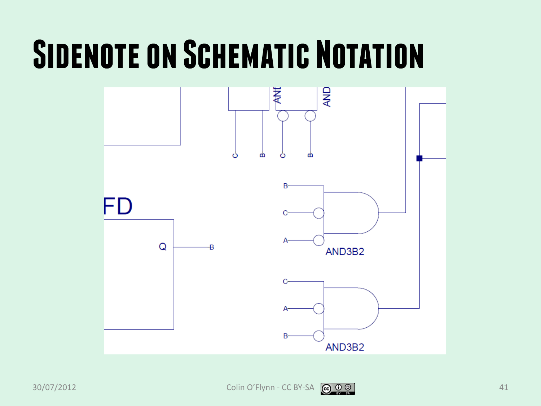#### **SIDENOTE ON SCHEMATIC NOTATION**



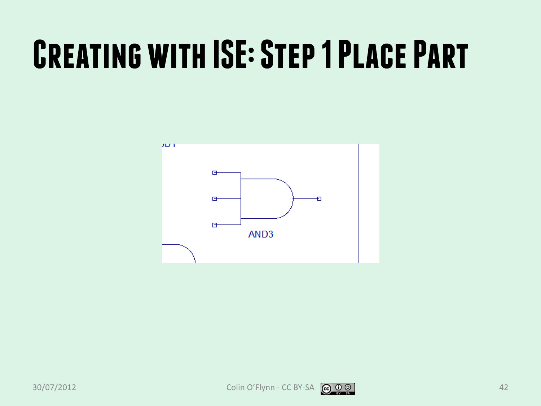#### **Creating with ISE: Step 1 Place Part**

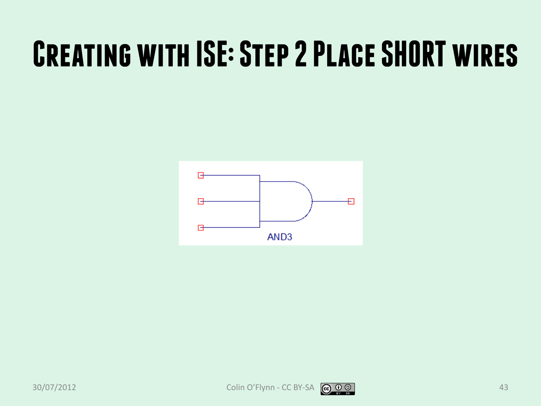#### **Creating with ISE: Step 2 Place SHORT wires**



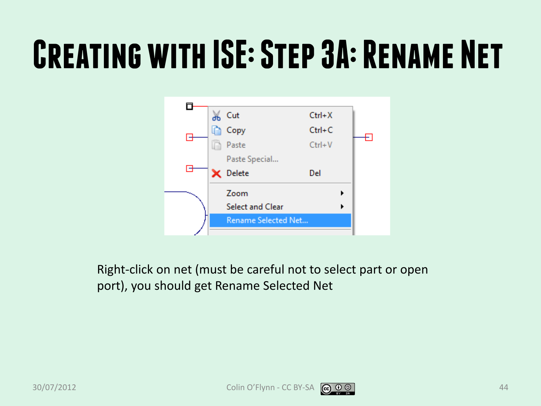#### **Creating with ISE: Step 3A: Rename Net**



Right-click on net (must be careful not to select part or open port), you should get Rename Selected Net



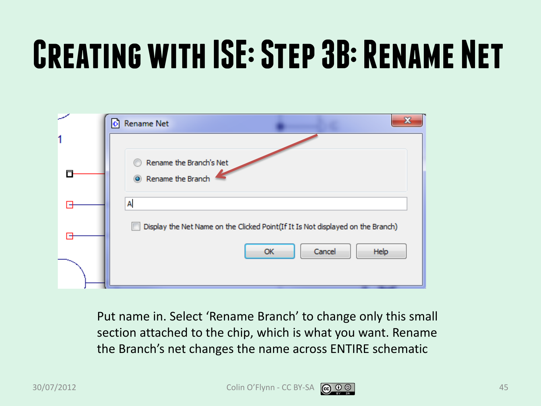## **Creating with ISE: Step 3B: Rename Net**

| D Rename Net                                                                    |
|---------------------------------------------------------------------------------|
|                                                                                 |
| Rename the Branch's Net<br>Rename the Branch                                    |
| A                                                                               |
| Display the Net Name on the Clicked Point(If It Is Not displayed on the Branch) |
| Cancel<br>Help<br>OK                                                            |

Put name in. Select 'Rename Branch' to change only this small section attached to the chip, which is what you want. Rename the Branch's net changes the name across ENTIRE schematic

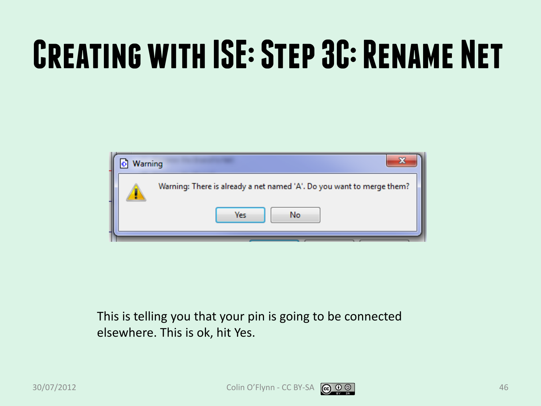## **Creating with ISE: Step 3C: Rename Net**



This is telling you that your pin is going to be connected elsewhere. This is ok, hit Yes.

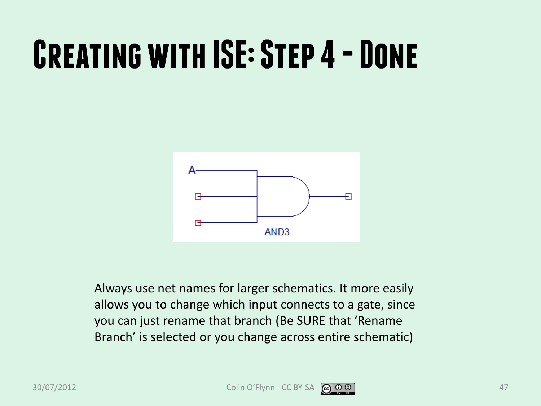#### **CREATING WITH ISE: STEP 4 - DONE**



Always use net names for larger schematics. It more easily allows you to change which input connects to a gate, since you can just rename that branch (Be SURE that 'Rename Branch' is selected or you change across entire schematic)

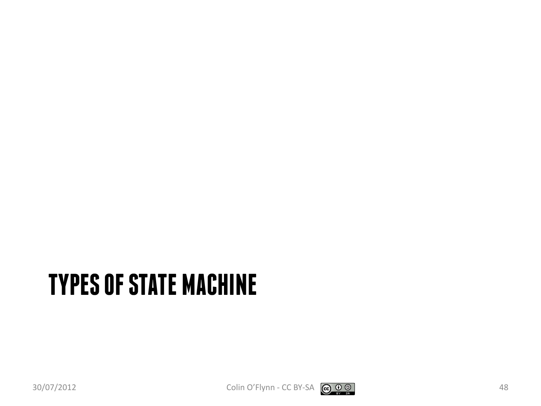#### **TYPES OF STATE MACHINE**

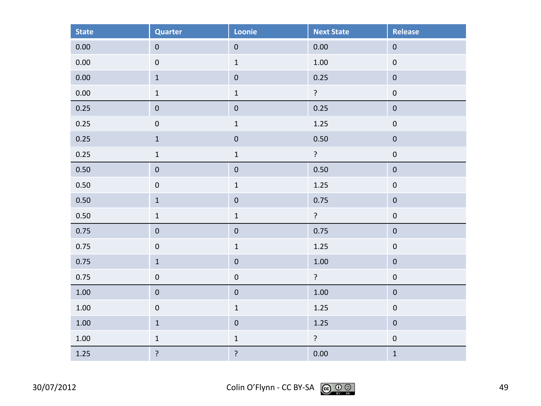| <b>State</b> | <b>Quarter</b> | Loonie           | <b>Next State</b> | <b>Release</b>   |
|--------------|----------------|------------------|-------------------|------------------|
| 0.00         | $\mathbf 0$    | $\pmb{0}$        | 0.00              | $\pmb{0}$        |
| 0.00         | $\mathbf 0$    | $\mathbf 1$      | 1.00              | $\pmb{0}$        |
| $0.00\,$     | $\mathbf 1$    | $\pmb{0}$        | 0.25              | $\pmb{0}$        |
| 0.00         | $\mathbf 1$    | $\mathbf 1$      | $\ddot{ }$        | $\pmb{0}$        |
| $0.25\,$     | ${\bf 0}$      | $\pmb{0}$        | 0.25              | $\pmb{0}$        |
| 0.25         | $\mathbf 0$    | $\mathbf 1$      | 1.25              | $\pmb{0}$        |
| 0.25         | $\mathbf 1$    | $\boldsymbol{0}$ | 0.50              | $\pmb{0}$        |
| 0.25         | $\mathbf 1$    | $\mathbf 1$      | $\ddot{ }$        | $\boldsymbol{0}$ |
| 0.50         | $\pmb{0}$      | $\pmb{0}$        | 0.50              | $\pmb{0}$        |
| 0.50         | $\pmb{0}$      | $\mathbf 1$      | 1.25              | $\boldsymbol{0}$ |
| 0.50         | $\mathbf 1$    | $\pmb{0}$        | 0.75              | $\boldsymbol{0}$ |
| 0.50         | $\mathbf 1$    | $\mathbf 1$      | $\ddot{?}$        | $\pmb{0}$        |
| 0.75         | $\pmb{0}$      | $\pmb{0}$        | 0.75              | $\pmb{0}$        |
| 0.75         | $\mathbf 0$    | $\mathbf 1$      | 1.25              | $\pmb{0}$        |
| 0.75         | $\mathbf 1$    | $\mathbf 0$      | $1.00\,$          | $\pmb{0}$        |
| 0.75         | $\pmb{0}$      | $\boldsymbol{0}$ | $\ddot{?}$        | $\boldsymbol{0}$ |
| 1.00         | $\pmb{0}$      | $\boldsymbol{0}$ | $1.00\,$          | $\pmb{0}$        |
| 1.00         | $\pmb{0}$      | $\mathbf 1$      | 1.25              | $\pmb{0}$        |
| 1.00         | $\mathbf 1$    | $\pmb{0}$        | 1.25              | $\pmb{0}$        |
| $1.00\,$     | $\mathbf 1$    | $\mathbf 1$      | $\ddot{ }$        | $\pmb{0}$        |
| 1.25         | ?              | $\overline{?}$   | 0.00              | $\mathbf 1$      |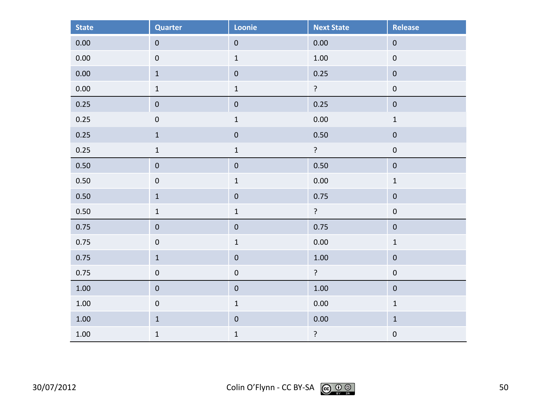| <b>State</b> | <b>Quarter</b>   | Loonie           | <b>Next State</b> | <b>Release</b>   |
|--------------|------------------|------------------|-------------------|------------------|
| 0.00         | $\pmb{0}$        | $\pmb{0}$        | 0.00              | $\pmb{0}$        |
| 0.00         | $\pmb{0}$        | $\mathbf 1$      | $1.00\,$          | $\boldsymbol{0}$ |
| 0.00         | $\mathbf 1$      | $\pmb{0}$        | 0.25              | $\pmb{0}$        |
| 0.00         | $\mathbf 1$      | $\mathbf 1$      | $\overline{?}$    | $\pmb{0}$        |
| 0.25         | $\pmb{0}$        | $\pmb{0}$        | 0.25              | $\pmb{0}$        |
| 0.25         | $\mathbf 0$      | $\mathbf 1$      | 0.00              | $\mathbf 1$      |
| 0.25         | $\mathbf 1$      | $\boldsymbol{0}$ | 0.50              | $\pmb{0}$        |
| 0.25         | $\mathbf 1$      | $\mathbf 1$      | $\tilde{.}$       | $\boldsymbol{0}$ |
| 0.50         | $\pmb{0}$        | $\pmb{0}$        | 0.50              | $\pmb{0}$        |
| 0.50         | $\boldsymbol{0}$ | $\mathbf 1$      | 0.00              | $\mathbf 1$      |
| 0.50         | $\mathbf 1$      | $\pmb{0}$        | 0.75              | $\boldsymbol{0}$ |
| 0.50         | $\mathbf 1$      | $\mathbf 1$      | $\ddot{?}$        | $\pmb{0}$        |
| 0.75         | $\pmb{0}$        | $\pmb{0}$        | 0.75              | $\pmb{0}$        |
| 0.75         | $\mathbf 0$      | $\mathbf 1$      | 0.00              | $\mathbf 1$      |
| 0.75         | $\mathbf 1$      | $\pmb{0}$        | $1.00\,$          | $\pmb{0}$        |
| 0.75         | $\pmb{0}$        | $\pmb{0}$        | $\overline{?}$    | $\pmb{0}$        |
| 1.00         | $\pmb{0}$        | $\pmb{0}$        | $1.00\,$          | $\pmb{0}$        |
| 1.00         | $\pmb{0}$        | $\mathbf 1$      | 0.00              | $\mathbf 1$      |
| $1.00\,$     | $\mathbf 1$      | $\pmb{0}$        | 0.00              | $\mathbf 1$      |
| 1.00         | $\mathbf 1$      | $\mathbf 1$      | $\overline{?}$    | $\pmb{0}$        |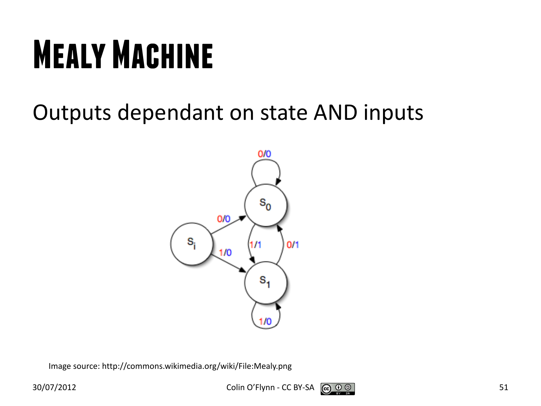## **Mealy Machine**

#### Outputs dependant on state AND inputs



Image source: http://commons.wikimedia.org/wiki/File:Mealy.png

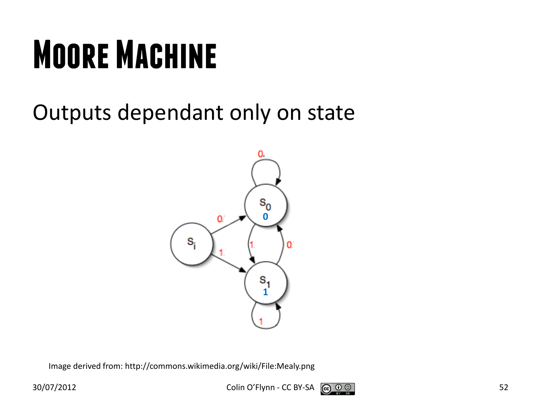## **Moore Machine**

#### Outputs dependant only on state



Image derived from: http://commons.wikimedia.org/wiki/File:Mealy.png

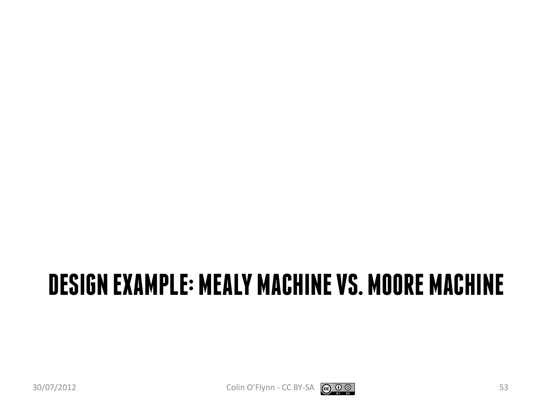#### **DESIGN EXAMPLE: MEALY MACHINE VS. MOORE MACHINE**



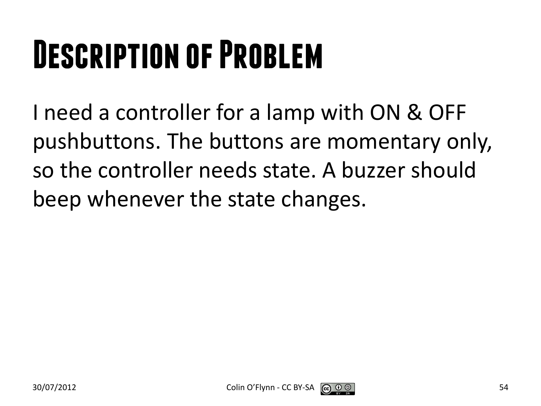## **Description of Problem**

I need a controller for a lamp with ON & OFF pushbuttons. The buttons are momentary only, so the controller needs state. A buzzer should beep whenever the state changes.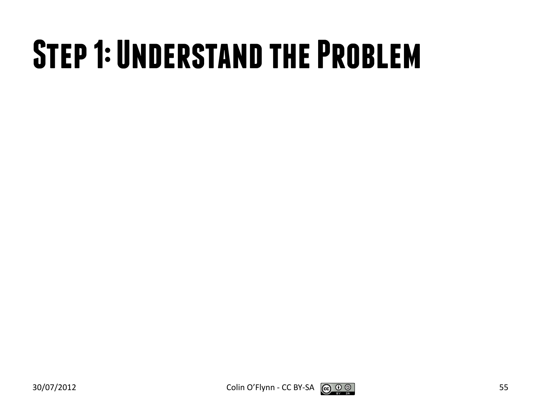#### **Step 1: Understand the Problem**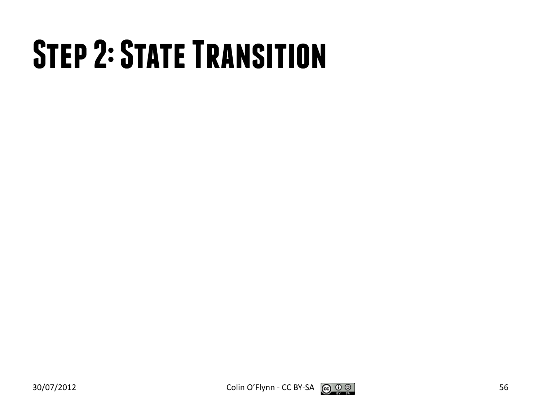## **Step 2: State Transition**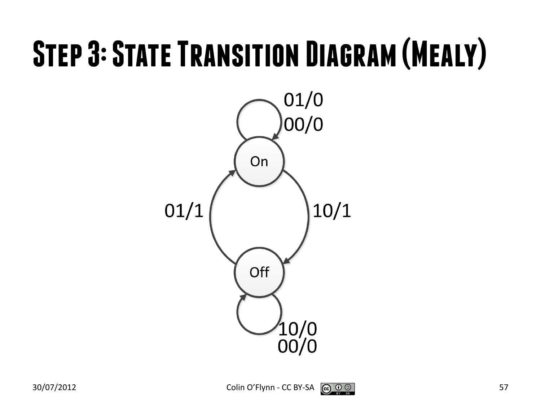#### **Step 3: State Transition Diagram (Mealy)**



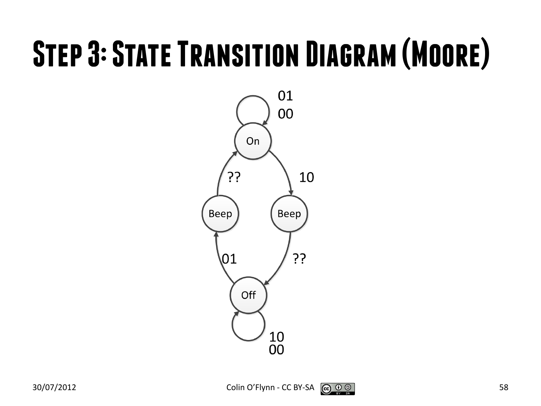#### **Step 3: State Transition Diagram (Moore)**



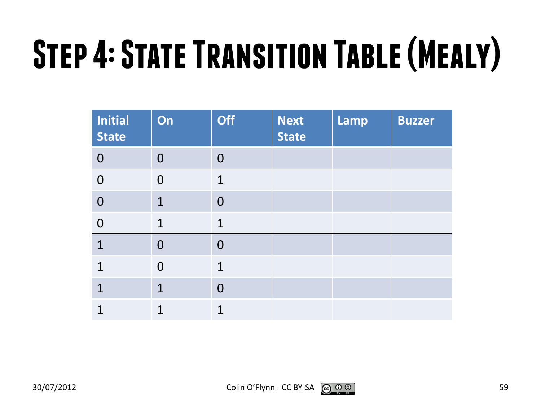# **Step 4: State Transition Table (Mealy)**

| <b>Initial</b><br><b>State</b> | On             | <b>Off</b>     | <b>Next</b><br><b>State</b> | Lamp | <b>Buzzer</b> |
|--------------------------------|----------------|----------------|-----------------------------|------|---------------|
| $\overline{0}$                 | $\overline{0}$ | $\overline{0}$ |                             |      |               |
| $\overline{0}$                 | $\overline{0}$ | $\mathbf{1}$   |                             |      |               |
| $\overline{0}$                 | $\mathbf 1$    | $\overline{0}$ |                             |      |               |
| $\overline{0}$                 | $\mathbf{1}$   | $\mathbf{1}$   |                             |      |               |
| $\overline{1}$                 | $\overline{0}$ | $\overline{0}$ |                             |      |               |
| $\mathbf 1$                    | $\overline{0}$ | $\mathbf{1}$   |                             |      |               |
| $\mathbf 1$                    | $\mathbf 1$    | $\overline{0}$ |                             |      |               |
| 1                              | 1              | $\overline{1}$ |                             |      |               |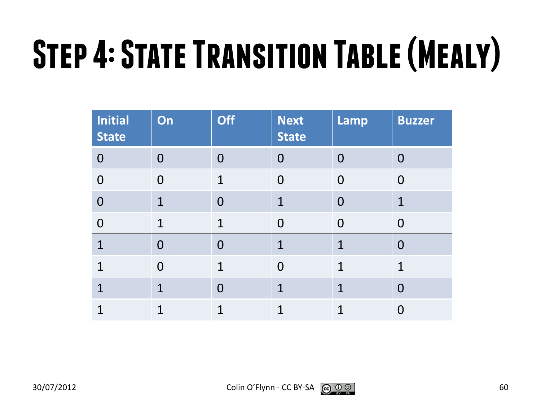# **Step 4: State Transition Table (Mealy)**

| <b>Initial</b><br><b>State</b> | On             | <b>Off</b>     | <b>Next</b><br><b>State</b> | Lamp           | <b>Buzzer</b>  |
|--------------------------------|----------------|----------------|-----------------------------|----------------|----------------|
| $\overline{0}$                 | $\overline{0}$ | $\overline{0}$ | $\Omega$                    | $\overline{0}$ | $\overline{0}$ |
| $\overline{0}$                 | $\overline{0}$ | $\mathbf{1}$   | $\Omega$                    | $\Omega$       | $\Omega$       |
| $\overline{0}$                 | 1              | $\overline{0}$ | 1                           | $\overline{0}$ | $\mathbf 1$    |
| $\overline{0}$                 | 1              | $\overline{1}$ | $\Omega$                    | $\overline{0}$ | 0              |
| $\overline{1}$                 | $\overline{0}$ | $\overline{0}$ | 1                           | 1              | 0              |
| 1                              | $\overline{0}$ | $\mathbf{1}$   | $\overline{0}$              | 1              | $\mathbf 1$    |
| 1                              | 1              | $\overline{0}$ | $\mathbf{1}$                | $\overline{1}$ | 0              |
|                                | 1              | 1              | 1                           | 1              | O              |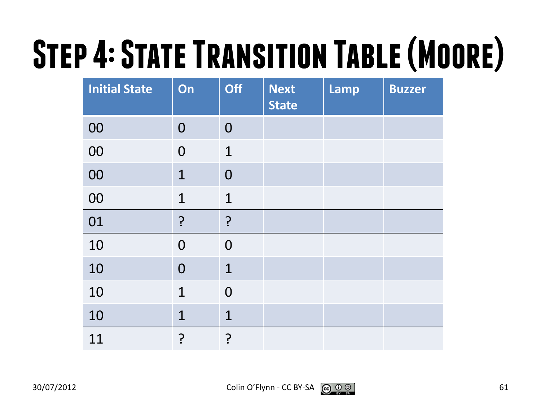# **Step 4: State Transition Table (Moore)**

| <b>Initial State</b> | On             | <b>Off</b>     | <b>Next</b><br><b>State</b> | <b>Lamp</b> | <b>Buzzer</b> |
|----------------------|----------------|----------------|-----------------------------|-------------|---------------|
| 00                   | $\overline{0}$ | $\overline{0}$ |                             |             |               |
| 00                   | $\overline{0}$ | $\mathbf 1$    |                             |             |               |
| 00                   | $\mathbf{1}$   | $\overline{0}$ |                             |             |               |
| 00                   | $\mathbf{1}$   | $\mathbf 1$    |                             |             |               |
| 01                   | $\overline{?}$ | ?              |                             |             |               |
| 10                   | $\overline{0}$ | $\overline{0}$ |                             |             |               |
| 10                   | $\overline{0}$ | $\mathbf 1$    |                             |             |               |
| 10                   | $\mathbf{1}$   | $\overline{0}$ |                             |             |               |
| 10                   | $\mathbf{1}$   | $\mathbf 1$    |                             |             |               |
| 11                   | ?              | ?              |                             |             |               |

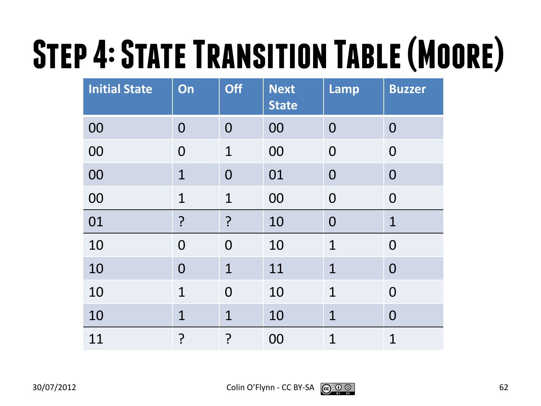# **Step 4: State Transition Table (Moore)**

| <b>Initial State</b> | On             | <b>Off</b>     | <b>Next</b><br><b>State</b> | <b>Lamp</b>    | <b>Buzzer</b>  |
|----------------------|----------------|----------------|-----------------------------|----------------|----------------|
| 00                   | $\overline{0}$ | $\overline{0}$ | 00                          | $\overline{0}$ | $\bf{0}$       |
| 00                   | $\overline{0}$ | $\mathbf{1}$   | 00                          | $\overline{0}$ | $\mathbf 0$    |
| 00                   | $\overline{1}$ | $\overline{0}$ | 01                          | $\overline{0}$ | $\overline{0}$ |
| 00                   | $\mathbf 1$    | $\mathbf 1$    | 00                          | $\overline{0}$ | $\overline{0}$ |
| 01                   | ?              | $\overline{?}$ | 10                          | $\overline{0}$ | $\mathbf 1$    |
| 10                   | $\overline{0}$ | $\overline{0}$ | 10                          | $\mathbf 1$    | $\overline{0}$ |
| 10                   | $\overline{0}$ | $\mathbf 1$    | 11                          | $\overline{1}$ | $\overline{0}$ |
| 10                   | $\mathbf{1}$   | $\overline{0}$ | 10                          | $\mathbf 1$    | $\overline{0}$ |
| 10                   | $\mathbf 1$    | $\mathbf 1$    | 10                          | $\mathbf 1$    | $\overline{0}$ |
| 11                   | ?              | <u>?</u>       | 00                          | $\overline{1}$ | $\mathbf 1$    |

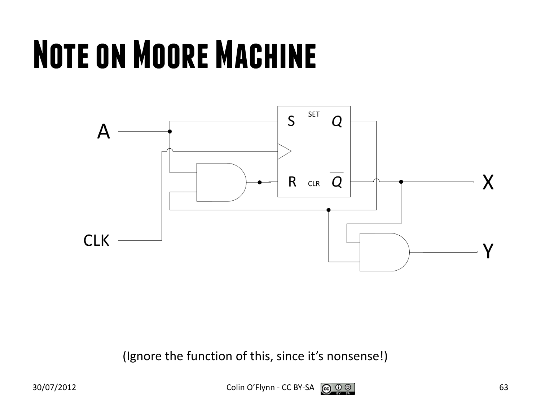## **Note on Moore Machine**



(Ignore the function of this, since it's nonsense!)

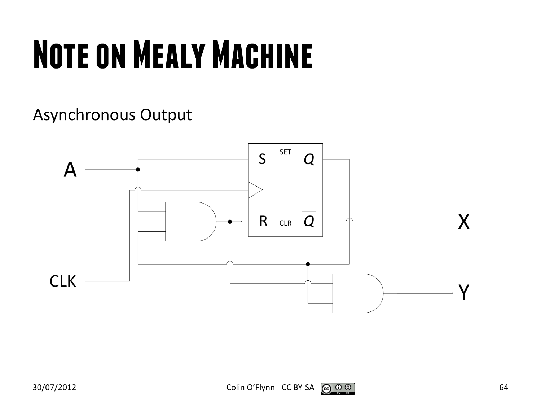## **Note on Mealy Machine**

Asynchronous Output



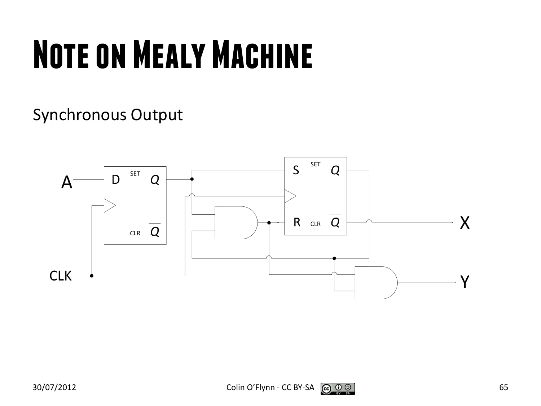## **Note on Mealy Machine**

#### Synchronous Output

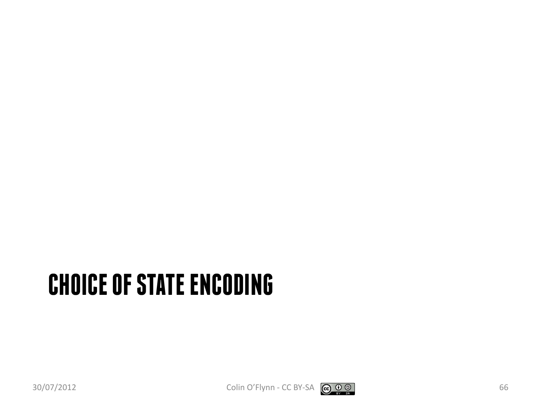#### **CHOICE OF STATE ENCODING**

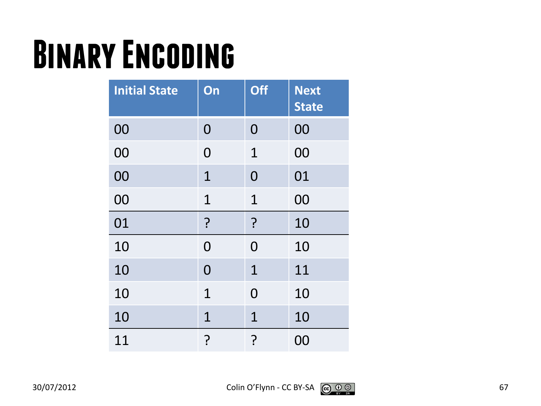#### **Binary Encoding**

| <b>Initial State</b> | On             | <b>Off</b>     | <b>Next</b><br><b>State</b> |
|----------------------|----------------|----------------|-----------------------------|
| 00                   | 0              | $\overline{0}$ | 00                          |
| 00                   | 0              | 1              | 00                          |
| 00                   | 1              | $\overline{0}$ | 01                          |
| 00                   | $\mathbf 1$    | $\mathbf{1}$   | 00                          |
| 01                   | ?              | ?              | 10                          |
| 10                   | 0              | $\Omega$       | 10                          |
| 10                   | $\overline{0}$ | $\mathbf{1}$   | 11                          |
| 10                   | $\mathbf 1$    | $\overline{0}$ | 10                          |
| 10                   | $\mathbf 1$    | $\mathbf{1}$   | 10                          |
| 11                   | ?              | <u>?</u>       | 00                          |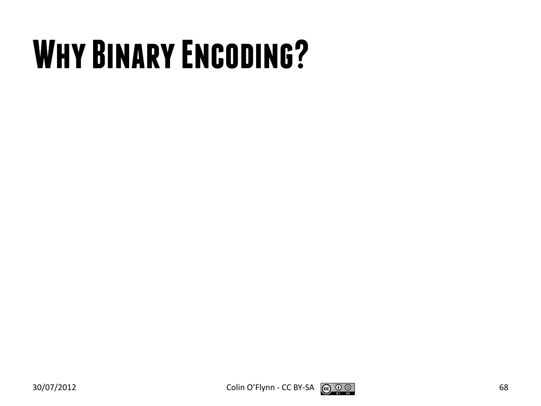## **Why Binary Encoding?**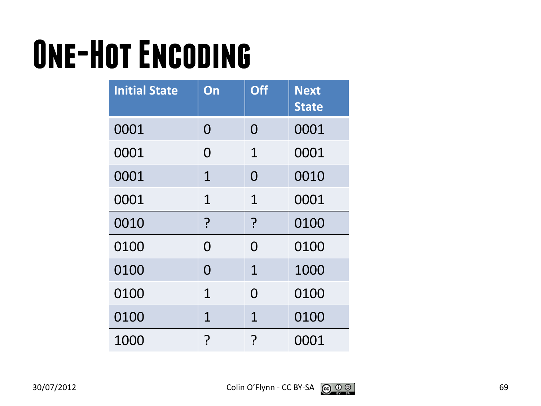## **One-Hot Encoding**

| <b>Initial State</b> | On          | <b>Off</b>     | <b>Next</b><br><b>State</b> |
|----------------------|-------------|----------------|-----------------------------|
| 0001                 | 0           | 0              | 0001                        |
| 0001                 | O           | $\mathbf 1$    | 0001                        |
| 0001                 | $\mathbf 1$ | $\overline{0}$ | 0010                        |
| 0001                 | $\mathbf 1$ | $\mathbf{1}$   | 0001                        |
| 0010                 | ?           | ?              | 0100                        |
| 0100                 | 0           | 0              | 0100                        |
| 0100                 | 0           | $\mathbf{1}$   | 1000                        |
| 0100                 | $\mathbf 1$ | $\Omega$       | 0100                        |
| 0100                 | $\mathbf 1$ | $\mathbf{1}$   | 0100                        |
| 1000                 | <u>م</u>    | ၣ              | 0001                        |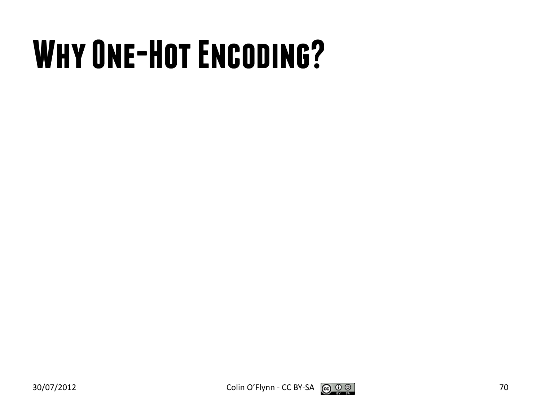## **Why One-Hot Encoding?**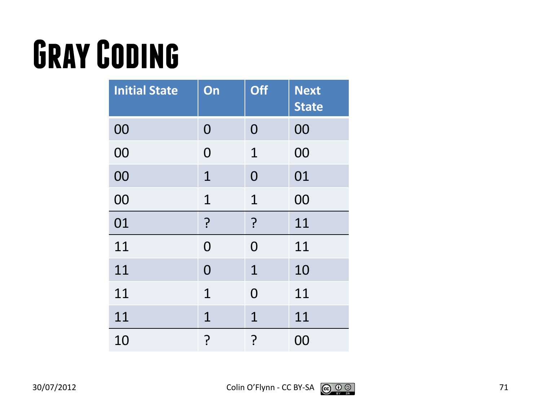## **Gray Coding**

| <b>Initial State</b> | On             | <b>Off</b>     | <b>Next</b><br><b>State</b> |
|----------------------|----------------|----------------|-----------------------------|
| 00                   | 0              | 0              | 00                          |
| 00                   | 0              | 1              | 00                          |
| 00                   | $\mathbf 1$    | $\overline{0}$ | 01                          |
| 00                   | $\mathbf 1$    | $\mathbf{1}$   | 00                          |
| 01                   | ?              | ?              | 11                          |
| 11                   | $\overline{0}$ | $\Omega$       | 11                          |
| 11                   | $\overline{0}$ | $\mathbf 1$    | 10                          |
| 11                   | $\mathbf 1$    | $\Omega$       | 11                          |
| 11                   | $\mathbf 1$    | $\mathbf{1}$   | 11                          |
| 10                   | ?<br>?         | <u>?</u>       | 00                          |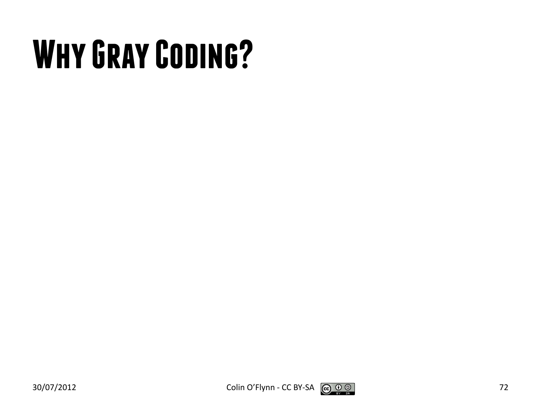## **Why Gray Coding?**